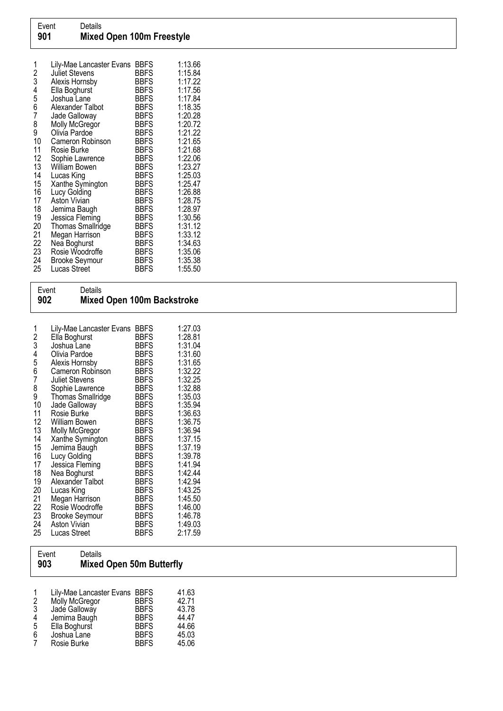| 1<br>$\overline{c}$<br>3<br>4<br>5 | Lily-Mae Lancaster Evans<br>Juliet Stevens<br>Alexis Hornsby<br>Ella Boghurst<br>Joshua Lane | <b>BBFS</b><br><b>BBFS</b><br><b>BBFS</b><br><b>BBFS</b><br><b>BBFS</b> | 1:13.66<br>1:15.84<br>1:17.22<br>1:17.56<br>1:17.84 |
|------------------------------------|----------------------------------------------------------------------------------------------|-------------------------------------------------------------------------|-----------------------------------------------------|
| 6                                  | Alexander Talbot                                                                             | <b>BBFS</b>                                                             | 1:18.35                                             |
| 7<br>8                             | Jade Galloway<br>Molly McGregor                                                              | <b>BBFS</b><br><b>BBFS</b>                                              | 1:20.28<br>1:20.72                                  |
| 9                                  | Olivia Pardoe                                                                                | <b>BBFS</b>                                                             | 1:21.22                                             |
| 10                                 | Cameron Robinson                                                                             | <b>BBFS</b>                                                             | 1:21.65                                             |
| 11<br>12                           | Rosie Burke                                                                                  | <b>BBFS</b><br><b>BBFS</b>                                              | 1:21.68<br>1:22.06                                  |
| 13                                 | Sophie Lawrence<br>William Bowen                                                             | <b>BBFS</b>                                                             | 1:23.27                                             |
| 14                                 | Lucas King                                                                                   | <b>BBFS</b>                                                             | 1:25.03                                             |
| 15                                 | Xanthe Symington                                                                             | <b>BBFS</b>                                                             | 1:25.47                                             |
| 16                                 | Lucy Golding                                                                                 | <b>BBFS</b>                                                             | 1:26.88                                             |
| 17<br>18                           | Aston Vivian<br>Jemima Baugh                                                                 | <b>BBFS</b><br><b>BBFS</b>                                              | 1:28.75<br>1:28.97                                  |
| 19                                 | Jessica Fleming                                                                              | <b>BBFS</b>                                                             | 1:30.56                                             |
| 20                                 | Thomas Smallridge                                                                            | <b>BBFS</b>                                                             | 1:31.12                                             |
| 21                                 | Megan Harrison                                                                               | <b>BBFS</b>                                                             | 1:33.12                                             |
| 22                                 | Nea Boghurst                                                                                 | <b>BBFS</b>                                                             | 1:34.63                                             |
| 23<br>24                           | Rosie Woodroffe<br><b>Brooke Seymour</b>                                                     | <b>BBFS</b><br><b>BBFS</b>                                              | 1:35.06<br>1:35.38                                  |
| 25                                 | Lucas Street                                                                                 | <b>BBFS</b>                                                             | 1:55.50                                             |

| Event<br>902                                                                                                              | Details<br><b>Mixed Open 100m Backstroke</b>                                                                                                                                                                                                                                                                                                                                                                                                                                      |                                                                                                                                                                                                                                                                                                                                                                                     |                                                                                                                                                                                                                                                                                 |
|---------------------------------------------------------------------------------------------------------------------------|-----------------------------------------------------------------------------------------------------------------------------------------------------------------------------------------------------------------------------------------------------------------------------------------------------------------------------------------------------------------------------------------------------------------------------------------------------------------------------------|-------------------------------------------------------------------------------------------------------------------------------------------------------------------------------------------------------------------------------------------------------------------------------------------------------------------------------------------------------------------------------------|---------------------------------------------------------------------------------------------------------------------------------------------------------------------------------------------------------------------------------------------------------------------------------|
| 1<br>23456<br>7<br>8<br>9<br>10<br>11<br>12<br>13<br>14<br>15<br>16<br>17<br>18<br>19<br>20<br>21<br>22<br>23<br>24<br>25 | Lily-Mae Lancaster Evans<br>Ella Boghurst<br>Joshua Lane<br>Olivia Pardoe<br>Alexis Hornsby<br>Cameron Robinson<br><b>Juliet Stevens</b><br>Sophie Lawrence<br><b>Thomas Smallridge</b><br>Jade Galloway<br>Rosie Burke<br>William Bowen<br>Molly McGregor<br>Xanthe Symington<br>Jemima Baugh<br>Lucy Golding<br>Jessica Fleming<br>Nea Boghurst<br>Alexander Talbot<br>Lucas King<br>Megan Harrison<br>Rosie Woodroffe<br><b>Brooke Seymour</b><br>Aston Vivian<br>Lucas Street | <b>BBFS</b><br><b>BBFS</b><br><b>BBFS</b><br><b>BBFS</b><br><b>BBFS</b><br><b>BBFS</b><br><b>BBFS</b><br><b>BBFS</b><br><b>BBFS</b><br><b>BBFS</b><br><b>BBFS</b><br><b>BBFS</b><br><b>BBFS</b><br><b>BBFS</b><br><b>BBFS</b><br><b>BBFS</b><br><b>BBFS</b><br><b>BBFS</b><br><b>BBFS</b><br><b>BBFS</b><br><b>BBFS</b><br><b>BBFS</b><br><b>BBFS</b><br><b>BBFS</b><br><b>BBFS</b> | 1:27.03<br>1:28.81<br>1:31.04<br>1:31.60<br>1:31.65<br>1:32.22<br>1:32.25<br>1:32.88<br>1:35.03<br>1:35.94<br>1:36.63<br>1:36.75<br>1:36.94<br>1:37.15<br>1:37.19<br>1:39.78<br>1:41.94<br>1:42.44<br>1:42.94<br>1:43.25<br>1:45.50<br>1:46.00<br>1:46.78<br>1:49.03<br>2:17.59 |

## Event Details<br> **903** Mixed Mixed Open 50m Butterfly

|   | Lily-Mae Lancaster Evans BBFS |             | 41.63 |
|---|-------------------------------|-------------|-------|
| 2 | Molly McGregor                | <b>BBFS</b> | 42.71 |
| 3 | Jade Galloway                 | <b>BBFS</b> | 43.78 |
| 4 | Jemima Baugh                  | <b>BBFS</b> | 44.47 |
| 5 | Ella Boghurst                 | <b>BBFS</b> | 44.66 |
| 6 | Joshua Lane                   | <b>BBFS</b> | 45.03 |
| 7 | Rosie Burke                   | <b>BBFS</b> | 45.06 |